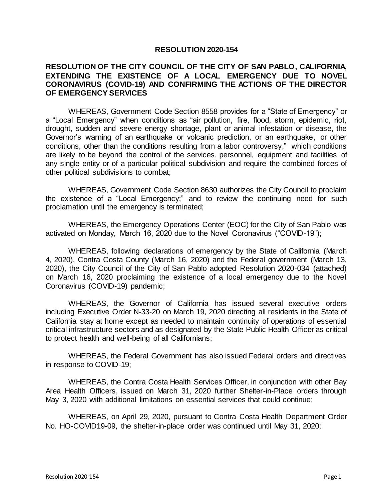## **RESOLUTION 2020-154**

## **RESOLUTION OF THE CITY COUNCIL OF THE CITY OF SAN PABLO, CALIFORNIA, EXTENDING THE EXISTENCE OF A LOCAL EMERGENCY DUE TO NOVEL CORONAVIRUS (COVID-19) AND CONFIRMING THE ACTIONS OF THE DIRECTOR OF EMERGENCY SERVICES**

WHEREAS, Government Code Section 8558 provides for a "State of Emergency" or a "Local Emergency" when conditions as "air pollution, fire, flood, storm, epidemic, riot, drought, sudden and severe energy shortage, plant or animal infestation or disease, the Governor's warning of an earthquake or volcanic prediction, or an earthquake, or other conditions, other than the conditions resulting from a labor controversy," which conditions are likely to be beyond the control of the services, personnel, equipment and facilities of any single entity or of a particular political subdivision and require the combined forces of other political subdivisions to combat;

WHEREAS, Government Code Section 8630 authorizes the City Council to proclaim the existence of a "Local Emergency;" and to review the continuing need for such proclamation until the emergency is terminated;

WHEREAS, the Emergency Operations Center (EOC) for the City of San Pablo was activated on Monday, March 16, 2020 due to the Novel Coronavirus ("COVID-19");

WHEREAS, following declarations of emergency by the State of California (March 4, 2020), Contra Costa County (March 16, 2020) and the Federal government (March 13, 2020), the City Council of the City of San Pablo adopted Resolution 2020-034 (attached) on March 16, 2020 proclaiming the existence of a local emergency due to the Novel Coronavirus (COVID-19) pandemic;

WHEREAS, the Governor of California has issued several executive orders including Executive Order N-33-20 on March 19, 2020 directing all residents in the State of California stay at home except as needed to maintain continuity of operations of essential critical infrastructure sectors and as designated by the State Public Health Officer as critical to protect health and well-being of all Californians;

WHEREAS, the Federal Government has also issued Federal orders and directives in response to COVID-19;

WHEREAS, the Contra Costa Health Services Officer, in conjunction with other Bay Area Health Officers, issued on March 31, 2020 further Shelter-in-Place orders through May 3, 2020 with additional limitations on essential services that could continue;

WHEREAS, on April 29, 2020, pursuant to Contra Costa Health Department Order No. HO-COVID19-09, the shelter-in-place order was continued until May 31, 2020;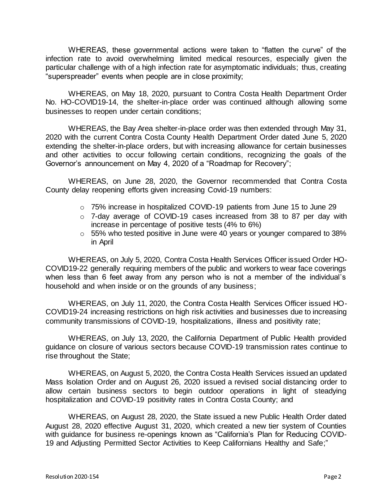WHEREAS, these governmental actions were taken to "flatten the curve" of the infection rate to avoid overwhelming limited medical resources, especially given the particular challenge with of a high infection rate for asymptomatic individuals; thus, creating "superspreader" events when people are in close proximity;

WHEREAS, on May 18, 2020, pursuant to Contra Costa Health Department Order No. HO-COVID19-14, the shelter-in-place order was continued although allowing some businesses to reopen under certain conditions;

WHEREAS, the Bay Area shelter-in-place order was then extended through May 31, 2020 with the current Contra Costa County Health Department Order dated June 5, 2020 extending the shelter-in-place orders, but with increasing allowance for certain businesses and other activities to occur following certain conditions, recognizing the goals of the Governor's announcement on May 4, 2020 of a "Roadmap for Recovery";

WHEREAS, on June 28, 2020, the Governor recommended that Contra Costa County delay reopening efforts given increasing Covid-19 numbers:

- o 75% increase in hospitalized COVID-19 patients from June 15 to June 29
- o 7-day average of COVID-19 cases increased from 38 to 87 per day with increase in percentage of positive tests (4% to 6%)
- o 55% who tested positive in June were 40 years or younger compared to 38% in April

WHEREAS, on July 5, 2020, Contra Costa Health Services Officer issued Order HO-COVID19-22 generally requiring members of the public and workers to wear face coverings when less than 6 feet away from any person who is not a member of the individual's household and when inside or on the grounds of any business;

WHEREAS, on July 11, 2020, the Contra Costa Health Services Officer issued HO-COVID19-24 increasing restrictions on high risk activities and businesses due to increasing community transmissions of COVID-19, hospitalizations, illness and positivity rate;

WHEREAS, on July 13, 2020, the California Department of Public Health provided guidance on closure of various sectors because COVID-19 transmission rates continue to rise throughout the State;

WHEREAS, on August 5, 2020, the Contra Costa Health Services issued an updated Mass Isolation Order and on August 26, 2020 issued a revised social distancing order to allow certain business sectors to begin outdoor operations in light of steadying hospitalization and COVID-19 positivity rates in Contra Costa County; and

WHEREAS, on August 28, 2020, the State issued a new Public Health Order dated August 28, 2020 effective August 31, 2020, which created a new tier system of Counties with guidance for business re-openings known as "California's Plan for Reducing COVID-19 and Adjusting Permitted Sector Activities to Keep Californians Healthy and Safe;"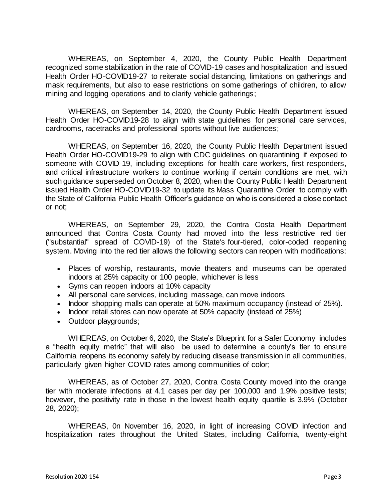WHEREAS, on September 4, 2020, the County Public Health Department recognized some stabilization in the rate of COVID-19 cases and hospitalization and issued Health Order HO-COVID19-27 to reiterate social distancing, limitations on gatherings and mask requirements, but also to ease restrictions on some gatherings of children, to allow mining and logging operations and to clarify vehicle gatherings;

WHEREAS, on September 14, 2020, the County Public Health Department issued Health Order HO-COVID19-28 to align with state guidelines for personal care services, cardrooms, racetracks and professional sports without live audiences;

WHEREAS, on September 16, 2020, the County Public Health Department issued Health Order HO-COVID19-29 to align with CDC guidelines on quarantining if exposed to someone with COVID-19, including exceptions for health care workers, first responders, and critical infrastructure workers to continue working if certain conditions are met, with such guidance superseded on October 8, 2020, when the County Public Health Department issued Health Order HO-COVID19-32 to update its Mass Quarantine Order to comply with the State of California Public Health Officer's guidance on who is considered a close contact or not;

WHEREAS, on September 29, 2020, the Contra Costa Health Department announced that Contra Costa County had moved into the less restrictive red tier ("substantial" spread of COVID-19) of the State's [four-tiered, color-coded reopening](https://covid19.ca.gov/safer-economy/)  [system.](https://covid19.ca.gov/safer-economy/) Moving into the red tier allows the following sectors can reopen with modifications:

- Places of worship, restaurants, movie theaters and museums can be operated indoors at 25% capacity or 100 people, whichever is less
- Gyms can reopen indoors at 10% capacity
- All personal care services, including massage, can move indoors
- Indoor shopping malls can operate at 50% maximum occupancy (instead of 25%).
- Indoor retail stores can now operate at 50% capacity (instead of 25%)
- Outdoor playgrounds;

WHEREAS, on October 6, 2020, the State's [Blueprint for a Safer Economy](https://www.cdph.ca.gov/Programs/CID/DCDC/Pages/COVID-19/COVID19CountyMonitoringOverview.aspx) includes a "health equity metric" that will also be used to determine a county's tier to ensure California reopens its economy safely by reducing disease transmission in all communities, particularly given higher COVID rates among communities of color;

WHEREAS, as of October 27, 2020, Contra Costa County moved into the orange tier with moderate infections at 4.1 cases per day per 100,000 and 1.9% positive tests; however, the positivity rate in those in the lowest health equity quartile is 3.9% (October 28, 2020);

WHEREAS, 0n November 16, 2020, in light of increasing COVID infection and hospitalization rates throughout the United States, including California, twenty-eight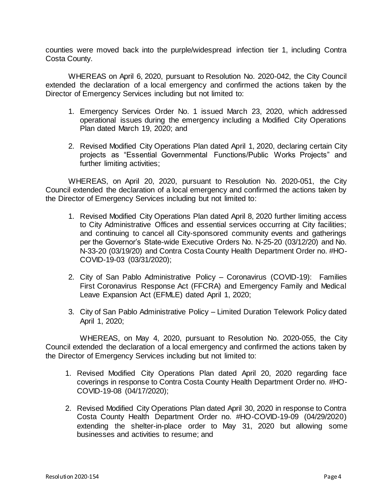counties were moved back into the purple/widespread infection tier 1, including Contra Costa County.

WHEREAS on April 6, 2020, pursuant to Resolution No. 2020-042, the City Council extended the declaration of a local emergency and confirmed the actions taken by the Director of Emergency Services including but not limited to:

- 1. Emergency Services Order No. 1 issued March 23, 2020, which addressed operational issues during the emergency including a Modified City Operations Plan dated March 19, 2020; and
- 2. Revised Modified City Operations Plan dated April 1, 2020, declaring certain City projects as "Essential Governmental Functions/Public Works Projects" and further limiting activities;

WHEREAS, on April 20, 2020, pursuant to Resolution No. 2020-051, the City Council extended the declaration of a local emergency and confirmed the actions taken by the Director of Emergency Services including but not limited to:

- 1. Revised Modified City Operations Plan dated April 8, 2020 further limiting access to City Administrative Offices and essential services occurring at City facilities; and continuing to cancel all City-sponsored community events and gatherings per the Governor's State-wide Executive Orders No. N-25-20 (03/12/20) and No. N-33-20 (03/19/20) and Contra Costa County Health Department Order no. #HO-COVID-19-03 (03/31/2020);
- 2. City of San Pablo Administrative Policy Coronavirus (COVID-19): Families First Coronavirus Response Act (FFCRA) and Emergency Family and Medical Leave Expansion Act (EFMLE) dated April 1, 2020;
- 3. City of San Pablo Administrative Policy Limited Duration Telework Policy dated April 1, 2020;

WHEREAS, on May 4, 2020, pursuant to Resolution No. 2020-055, the City Council extended the declaration of a local emergency and confirmed the actions taken by the Director of Emergency Services including but not limited to:

- 1. Revised Modified City Operations Plan dated April 20, 2020 regarding face coverings in response to Contra Costa County Health Department Order no. #HO-COVID-19-08 (04/17/2020);
- 2. Revised Modified City Operations Plan dated April 30, 2020 in response to Contra Costa County Health Department Order no. #HO-COVID-19-09 (04/29/2020) extending the shelter-in-place order to May 31, 2020 but allowing some businesses and activities to resume; and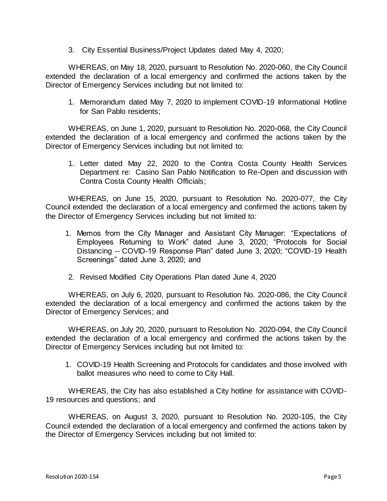3. City Essential Business/Project Updates dated May 4, 2020;

WHEREAS, on May 18, 2020, pursuant to Resolution No. 2020-060, the City Council extended the declaration of a local emergency and confirmed the actions taken by the Director of Emergency Services including but not limited to:

1. Memorandum dated May 7, 2020 to implement COVID-19 Informational Hotline for San Pablo residents;

WHEREAS, on June 1, 2020, pursuant to Resolution No. 2020-068, the City Council extended the declaration of a local emergency and confirmed the actions taken by the Director of Emergency Services including but not limited to:

1. Letter dated May 22, 2020 to the Contra Costa County Health Services Department re: Casino San Pablo Notification to Re-Open and discussion with Contra Costa County Health Officials;

WHEREAS, on June 15, 2020, pursuant to Resolution No. 2020-077, the City Council extended the declaration of a local emergency and confirmed the actions taken by the Director of Emergency Services including but not limited to:

- 1. Memos from the City Manager and Assistant City Manager: "Expectations of Employees Returning to Work" dated June 3, 2020; "Protocols for Social Distancing -- COVID-19 Response Plan" dated June 3, 2020; "COVID-19 Health Screenings" dated June 3, 2020; and
- 2. Revised Modified City Operations Plan dated June 4, 2020

WHEREAS, on July 6, 2020, pursuant to Resolution No. 2020-086, the City Council extended the declaration of a local emergency and confirmed the actions taken by the Director of Emergency Services; and

WHEREAS, on July 20, 2020, pursuant to Resolution No. 2020-094, the City Council extended the declaration of a local emergency and confirmed the actions taken by the Director of Emergency Services including but not limited to:

1. COVID-19 Health Screening and Protocols for candidates and those involved with ballot measures who need to come to City Hall.

WHEREAS, the City has also established a City hotline for assistance with COVID-19 resources and questions; and

WHEREAS, on August 3, 2020, pursuant to Resolution No. 2020-105, the City Council extended the declaration of a local emergency and confirmed the actions taken by the Director of Emergency Services including but not limited to: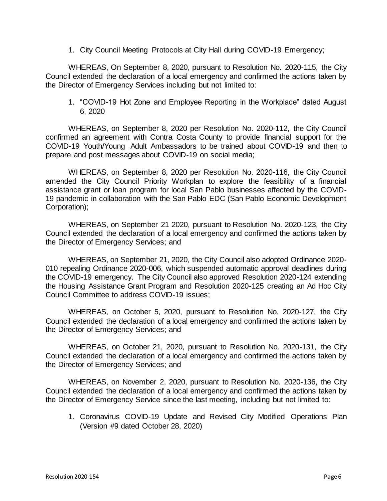1. City Council Meeting Protocols at City Hall during COVID-19 Emergency;

WHEREAS, On September 8, 2020, pursuant to Resolution No. 2020-115, the City Council extended the declaration of a local emergency and confirmed the actions taken by the Director of Emergency Services including but not limited to:

1. "COVID-19 Hot Zone and Employee Reporting in the Workplace" dated August 6, 2020

WHEREAS, on September 8, 2020 per Resolution No. 2020-112, the City Council confirmed an agreement with Contra Costa County to provide financial support for the COVID-19 Youth/Young Adult Ambassadors to be trained about COVID-19 and then to prepare and post messages about COVID-19 on social media;

WHEREAS, on September 8, 2020 per Resolution No. 2020-116, the City Council amended the City Council Priority Workplan to explore the feasibility of a financial assistance grant or loan program for local San Pablo businesses affected by the COVID-19 pandemic in collaboration with the San Pablo EDC (San Pablo Economic Development Corporation);

WHEREAS, on September 21 2020, pursuant to Resolution No. 2020-123, the City Council extended the declaration of a local emergency and confirmed the actions taken by the Director of Emergency Services; and

WHEREAS, on September 21, 2020, the City Council also adopted Ordinance 2020- 010 repealing Ordinance 2020-006, which suspended automatic approval deadlines during the COVID-19 emergency. The City Council also approved Resolution 2020-124 extending the Housing Assistance Grant Program and Resolution 2020-125 creating an Ad Hoc City Council Committee to address COVID-19 issues;

WHEREAS, on October 5, 2020, pursuant to Resolution No. 2020-127, the City Council extended the declaration of a local emergency and confirmed the actions taken by the Director of Emergency Services; and

WHEREAS, on October 21, 2020, pursuant to Resolution No. 2020-131, the City Council extended the declaration of a local emergency and confirmed the actions taken by the Director of Emergency Services; and

WHEREAS, on November 2, 2020, pursuant to Resolution No. 2020-136, the City Council extended the declaration of a local emergency and confirmed the actions taken by the Director of Emergency Service since the last meeting, including but not limited to:

1. Coronavirus COVID-19 Update and Revised City Modified Operations Plan (Version #9 dated October 28, 2020)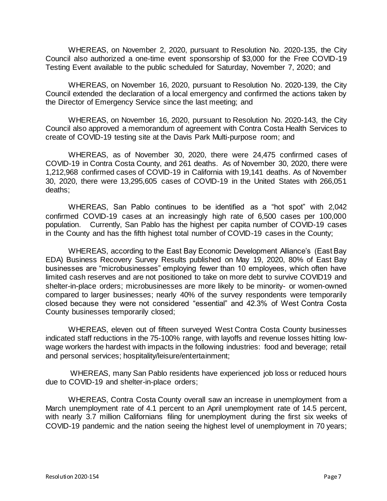WHEREAS, on November 2, 2020, pursuant to Resolution No. 2020-135, the City Council also authorized a one-time event sponsorship of \$3,000 for the Free COVID-19 Testing Event available to the public scheduled for Saturday, November 7, 2020; and

WHEREAS, on November 16, 2020, pursuant to Resolution No. 2020-139, the City Council extended the declaration of a local emergency and confirmed the actions taken by the Director of Emergency Service since the last meeting; and

WHEREAS, on November 16, 2020, pursuant to Resolution No. 2020-143, the City Council also approved a memorandum of agreement with Contra Costa Health Services to create of COVID-19 testing site at the Davis Park Multi-purpose room; and

WHEREAS, as of November 30, 2020, there were 24,475 confirmed cases of COVID-19 in Contra Costa County, and 261 deaths. As of November 30, 2020, there were 1,212,968 confirmed cases of COVID-19 in California with 19,141 deaths. As of November 30, 2020, there were 13,295,605 cases of COVID-19 in the United States with 266,051 deaths;

WHEREAS, San Pablo continues to be identified as a "hot spot" with 2,042 confirmed COVID-19 cases at an increasingly high rate of 6,500 cases per 100,000 population. Currently, San Pablo has the highest per capita number of COVID-19 cases in the County and has the fifth highest total number of COVID-19 cases in the County;

WHEREAS, according to the East Bay Economic Development Alliance's (East Bay EDA) Business Recovery Survey Results published on May 19, 2020, 80% of East Bay businesses are "microbusinesses" employing fewer than 10 employees, which often have limited cash reserves and are not positioned to take on more debt to survive COVID19 and shelter-in-place orders; microbusinesses are more likely to be minority- or women-owned compared to larger businesses; nearly 40% of the survey respondents were temporarily closed because they were not considered "essential" and 42.3% of West Contra Costa County businesses temporarily closed;

WHEREAS, eleven out of fifteen surveyed West Contra Costa County businesses indicated staff reductions in the 75-100% range, with layoffs and revenue losses hitting lowwage workers the hardest with impacts in the following industries: food and beverage; retail and personal services; hospitality/leisure/entertainment;

WHEREAS, many San Pablo residents have experienced job loss or reduced hours due to COVID-19 and shelter-in-place orders;

WHEREAS, Contra Costa County overall saw an increase in unemployment from a March unemployment rate of 4.1 percent to an April unemployment rate of 14.5 percent, with nearly 3.7 million Californians filing for unemployment during the first six weeks of COVID-19 pandemic and the nation seeing the highest level of unemployment in 70 years;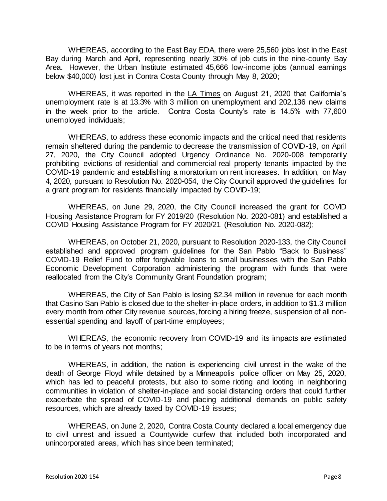WHEREAS, according to the East Bay EDA, there were 25,560 jobs lost in the East Bay during March and April, representing nearly 30% of job cuts in the nine-county Bay Area. However, the Urban Institute estimated 45,666 low-income jobs (annual earnings below \$40,000) lost just in Contra Costa County through May 8, 2020;

WHEREAS, it was reported in the LA Times on August 21, 2020 that California's unemployment rate is at 13.3% with 3 million on unemployment and 202,136 new claims in the week prior to the article. Contra Costa County's rate is 14.5% with 77,600 unemployed individuals;

WHEREAS, to address these economic impacts and the critical need that residents remain sheltered during the pandemic to decrease the transmission of COVID-19, on April 27, 2020, the City Council adopted Urgency Ordinance No. 2020-008 temporarily prohibiting evictions of residential and commercial real property tenants impacted by the COVID-19 pandemic and establishing a moratorium on rent increases. In addition, on May 4, 2020, pursuant to Resolution No. 2020-054, the City Council approved the guidelines for a grant program for residents financially impacted by COVID-19;

WHEREAS, on June 29, 2020, the City Council increased the grant for COVID Housing Assistance Program for FY 2019/20 (Resolution No. 2020-081) and established a COVID Housing Assistance Program for FY 2020/21 (Resolution No. 2020-082);

WHEREAS, on October 21, 2020, pursuant to Resolution 2020-133, the City Council established and approved program guidelines for the San Pablo "Back to Business" COVID-19 Relief Fund to offer forgivable loans to small businesses with the San Pablo Economic Development Corporation administering the program with funds that were reallocated from the City's Community Grant Foundation program;

WHEREAS, the City of San Pablo is losing \$2.34 million in revenue for each month that Casino San Pablo is closed due to the shelter-in-place orders, in addition to \$1.3 million every month from other City revenue sources, forcing a hiring freeze, suspension of all nonessential spending and layoff of part-time employees;

WHEREAS, the economic recovery from COVID-19 and its impacts are estimated to be in terms of years not months;

WHEREAS, in addition, the nation is experiencing civil unrest in the wake of the death of George Floyd while detained by a Minneapolis police officer on May 25, 2020, which has led to peaceful protests, but also to some rioting and looting in neighboring communities in violation of shelter-in-place and social distancing orders that could further exacerbate the spread of COVID-19 and placing additional demands on public safety resources, which are already taxed by COVID-19 issues;

WHEREAS, on June 2, 2020, Contra Costa County declared a local emergency due to civil unrest and issued a Countywide curfew that included both incorporated and unincorporated areas, which has since been terminated;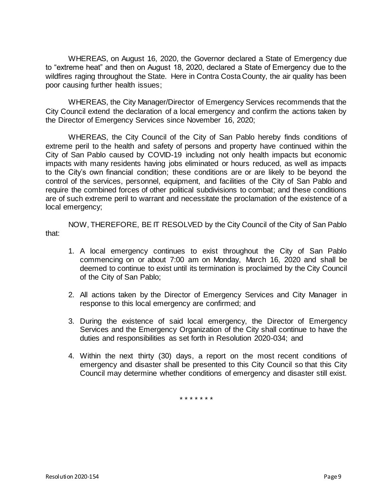WHEREAS, on August 16, 2020, the Governor declared a State of Emergency due to "extreme heat" and then on August 18, 2020, declared a State of Emergency due to the wildfires raging throughout the State. Here in Contra Costa County, the air quality has been poor causing further health issues;

 WHEREAS, the City Manager/Director of Emergency Services recommends that the City Council extend the declaration of a local emergency and confirm the actions taken by the Director of Emergency Services since November 16, 2020;

WHEREAS, the City Council of the City of San Pablo hereby finds conditions of extreme peril to the health and safety of persons and property have continued within the City of San Pablo caused by COVID-19 including not only health impacts but economic impacts with many residents having jobs eliminated or hours reduced, as well as impacts to the City's own financial condition; these conditions are or are likely to be beyond the control of the services, personnel, equipment, and facilities of the City of San Pablo and require the combined forces of other political subdivisions to combat; and these conditions are of such extreme peril to warrant and necessitate the proclamation of the existence of a local emergency;

NOW, THEREFORE, BE IT RESOLVED by the City Council of the City of San Pablo that:

- 1. A local emergency continues to exist throughout the City of San Pablo commencing on or about 7:00 am on Monday, March 16, 2020 and shall be deemed to continue to exist until its termination is proclaimed by the City Council of the City of San Pablo;
- 2. All actions taken by the Director of Emergency Services and City Manager in response to this local emergency are confirmed; and
- 3. During the existence of said local emergency, the Director of Emergency Services and the Emergency Organization of the City shall continue to have the duties and responsibilities as set forth in Resolution 2020-034; and
- 4. Within the next thirty (30) days, a report on the most recent conditions of emergency and disaster shall be presented to this City Council so that this City Council may determine whether conditions of emergency and disaster still exist.

\* \* \* \* \* \* \*